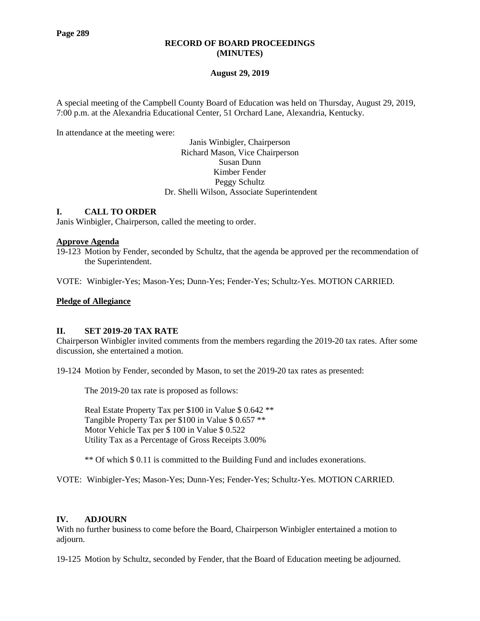# **RECORD OF BOARD PROCEEDINGS (MINUTES)**

# **August 29, 2019**

A special meeting of the Campbell County Board of Education was held on Thursday, August 29, 2019, 7:00 p.m. at the Alexandria Educational Center, 51 Orchard Lane, Alexandria, Kentucky.

In attendance at the meeting were:

Janis Winbigler, Chairperson Richard Mason, Vice Chairperson Susan Dunn Kimber Fender Peggy Schultz Dr. Shelli Wilson, Associate Superintendent

# **I. CALL TO ORDER**

Janis Winbigler, Chairperson, called the meeting to order.

### **Approve Agenda**

19-123 Motion by Fender, seconded by Schultz, that the agenda be approved per the recommendation of the Superintendent.

VOTE: Winbigler-Yes; Mason-Yes; Dunn-Yes; Fender-Yes; Schultz-Yes. MOTION CARRIED.

### **Pledge of Allegiance**

### **II. SET 2019-20 TAX RATE**

Chairperson Winbigler invited comments from the members regarding the 2019-20 tax rates. After some discussion, she entertained a motion.

19-124 Motion by Fender, seconded by Mason, to set the 2019-20 tax rates as presented:

The 2019-20 tax rate is proposed as follows:

Real Estate Property Tax per \$100 in Value \$ 0.642 \*\* Tangible Property Tax per \$100 in Value \$ 0.657 \*\* Motor Vehicle Tax per \$ 100 in Value \$ 0.522 Utility Tax as a Percentage of Gross Receipts 3.00%

\*\* Of which \$ 0.11 is committed to the Building Fund and includes exonerations.

VOTE: Winbigler-Yes; Mason-Yes; Dunn-Yes; Fender-Yes; Schultz-Yes. MOTION CARRIED.

### **IV. ADJOURN**

With no further business to come before the Board, Chairperson Winbigler entertained a motion to adjourn.

19-125 Motion by Schultz, seconded by Fender, that the Board of Education meeting be adjourned.